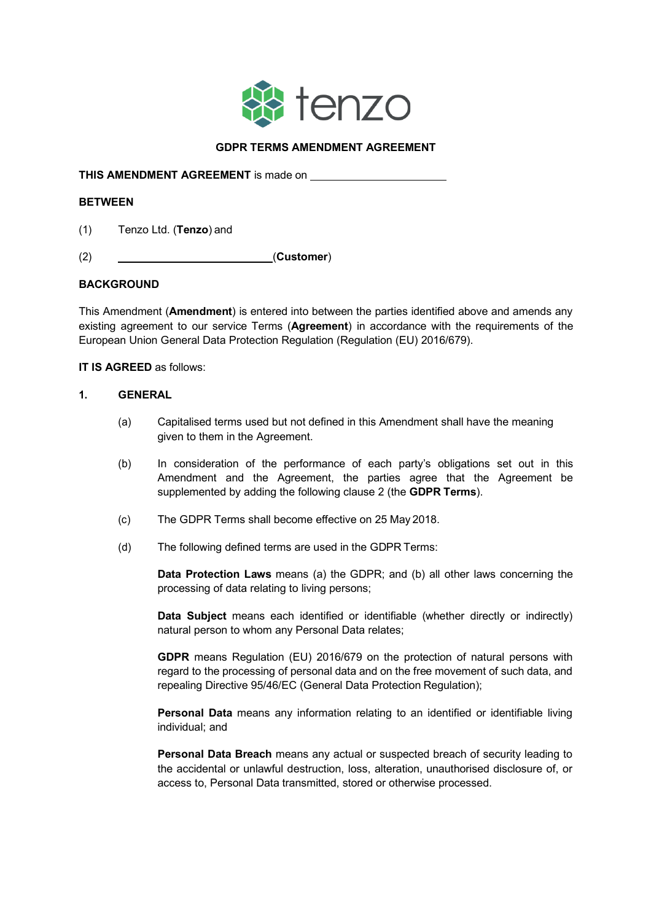

# **GDPR TERMS AMENDMENT AGREEMENT**

**THIS AMENDMENT AGREEMENT** is made on

#### **BETWEEN**

- (1) Tenzo Ltd. (**Tenzo**) and
- (2) (**Customer**)

## **BACKGROUND**

This Amendment (**Amendment**) is entered into between the parties identified above and amends any existing agreement to our service Terms (**Agreement**) in accordance with the requirements of the European Union General Data Protection Regulation (Regulation (EU) 2016/679).

**IT IS AGREED** as follows:

#### **1. GENERAL**

- (a) Capitalised terms used but not defined in this Amendment shall have the meaning given to them in the Agreement.
- (b) In consideration of the performance of each party's obligations set out in this Amendment and the Agreement, the parties agree that the Agreement be supplemented by adding the following clause 2 (the **GDPR Terms**).
- (c) The GDPR Terms shall become effective on 25 May 2018.
- (d) The following defined terms are used in the GDPR Terms:

**Data Protection Laws** means (a) the GDPR; and (b) all other laws concerning the processing of data relating to living persons;

**Data Subject** means each identified or identifiable (whether directly or indirectly) natural person to whom any Personal Data relates;

**GDPR** means Regulation (EU) 2016/679 on the protection of natural persons with regard to the processing of personal data and on the free movement of such data, and repealing Directive 95/46/EC (General Data Protection Regulation);

**Personal Data** means any information relating to an identified or identifiable living individual; and

**Personal Data Breach** means any actual or suspected breach of security leading to the accidental or unlawful destruction, loss, alteration, unauthorised disclosure of, or access to, Personal Data transmitted, stored or otherwise processed.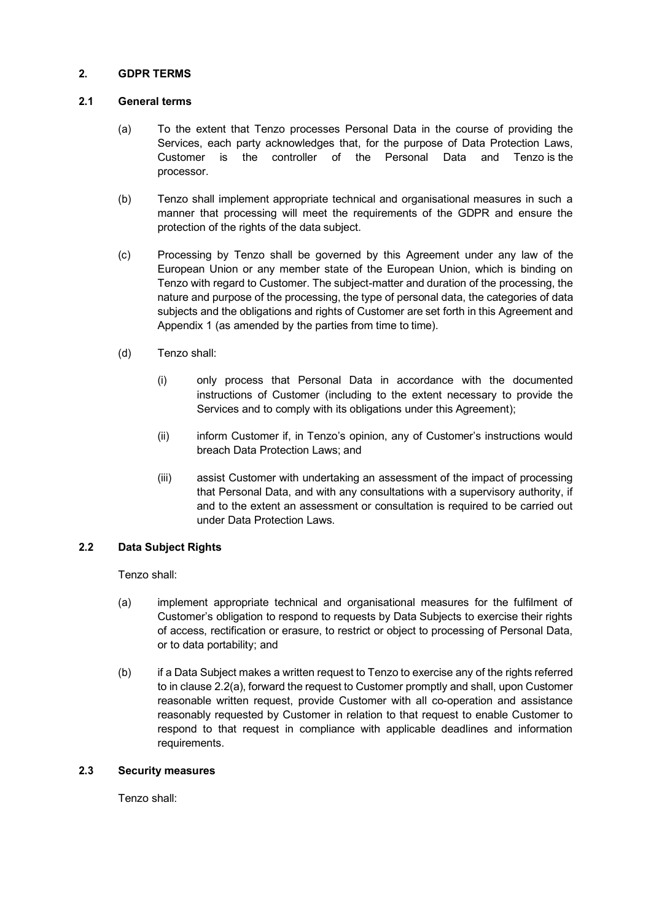## **2. GDPR TERMS**

# **2.1 General terms**

- (a) To the extent that Tenzo processes Personal Data in the course of providing the Services, each party acknowledges that, for the purpose of Data Protection Laws, Customer is the controller of the Personal Data and Tenzo is the processor.
- (b) Tenzo shall implement appropriate technical and organisational measures in such a manner that processing will meet the requirements of the GDPR and ensure the protection of the rights of the data subject.
- (c) Processing by Tenzo shall be governed by this Agreement under any law of the European Union or any member state of the European Union, which is binding on Tenzo with regard to Customer. The subject-matter and duration of the processing, the nature and purpose of the processing, the type of personal data, the categories of data subjects and the obligations and rights of Customer are set forth in this Agreement and Appendix 1 (as amended by the parties from time to time).
- (d) Tenzo shall:
	- (i) only process that Personal Data in accordance with the documented instructions of Customer (including to the extent necessary to provide the Services and to comply with its obligations under this Agreement);
	- (ii) inform Customer if, in Tenzo's opinion, any of Customer's instructions would breach Data Protection Laws; and
	- (iii) assist Customer with undertaking an assessment of the impact of processing that Personal Data, and with any consultations with a supervisory authority, if and to the extent an assessment or consultation is required to be carried out under Data Protection Laws.

## **2.2 Data Subject Rights**

Tenzo shall:

- (a) implement appropriate technical and organisational measures for the fulfilment of Customer's obligation to respond to requests by Data Subjects to exercise their rights of access, rectification or erasure, to restrict or object to processing of Personal Data, or to data portability; and
- (b) if a Data Subject makes a written request to Tenzo to exercise any of the rights referred to in clause 2.2(a), forward the request to Customer promptly and shall, upon Customer reasonable written request, provide Customer with all co-operation and assistance reasonably requested by Customer in relation to that request to enable Customer to respond to that request in compliance with applicable deadlines and information requirements.

## **2.3 Security measures**

Tenzo shall: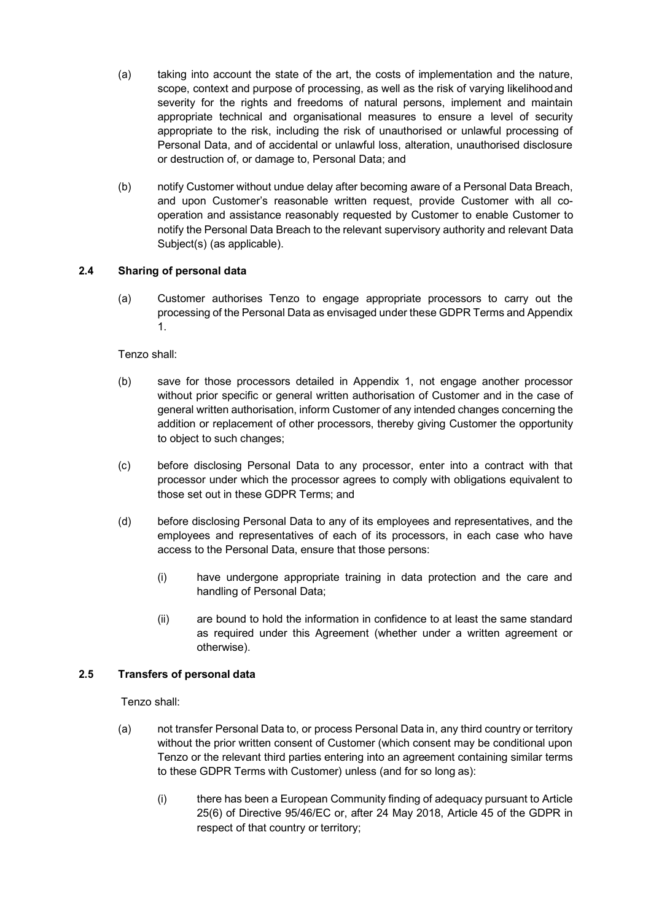- (a) taking into account the state of the art, the costs of implementation and the nature, scope, context and purpose of processing, as well as the risk of varying likelihoodand severity for the rights and freedoms of natural persons, implement and maintain appropriate technical and organisational measures to ensure a level of security appropriate to the risk, including the risk of unauthorised or unlawful processing of Personal Data, and of accidental or unlawful loss, alteration, unauthorised disclosure or destruction of, or damage to, Personal Data; and
- (b) notify Customer without undue delay after becoming aware of a Personal Data Breach, and upon Customer's reasonable written request, provide Customer with all cooperation and assistance reasonably requested by Customer to enable Customer to notify the Personal Data Breach to the relevant supervisory authority and relevant Data Subject(s) (as applicable).

# **2.4 Sharing of personal data**

(a) Customer authorises Tenzo to engage appropriate processors to carry out the processing of the Personal Data as envisaged under these GDPR Terms and Appendix 1.

## Tenzo shall:

- (b) save for those processors detailed in Appendix 1, not engage another processor without prior specific or general written authorisation of Customer and in the case of general written authorisation, inform Customer of any intended changes concerning the addition or replacement of other processors, thereby giving Customer the opportunity to object to such changes;
- (c) before disclosing Personal Data to any processor, enter into a contract with that processor under which the processor agrees to comply with obligations equivalent to those set out in these GDPR Terms; and
- (d) before disclosing Personal Data to any of its employees and representatives, and the employees and representatives of each of its processors, in each case who have access to the Personal Data, ensure that those persons:
	- (i) have undergone appropriate training in data protection and the care and handling of Personal Data;
	- (ii) are bound to hold the information in confidence to at least the same standard as required under this Agreement (whether under a written agreement or otherwise).

## **2.5 Transfers of personal data**

Tenzo shall:

- (a) not transfer Personal Data to, or process Personal Data in, any third country or territory without the prior written consent of Customer (which consent may be conditional upon Tenzo or the relevant third parties entering into an agreement containing similar terms to these GDPR Terms with Customer) unless (and for so long as):
	- (i) there has been a European Community finding of adequacy pursuant to Article 25(6) of Directive 95/46/EC or, after 24 May 2018, Article 45 of the GDPR in respect of that country or territory;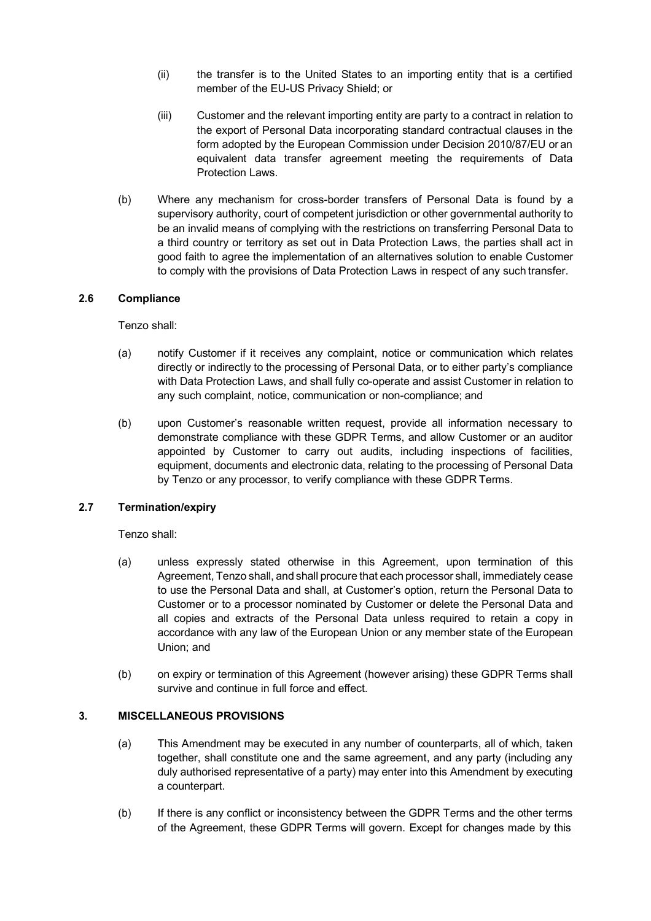- (ii) the transfer is to the United States to an importing entity that is a certified member of the EU-US Privacy Shield; or
- (iii) Customer and the relevant importing entity are party to a contract in relation to the export of Personal Data incorporating standard contractual clauses in the form adopted by the European Commission under Decision 2010/87/EU or an equivalent data transfer agreement meeting the requirements of Data Protection Laws.
- (b) Where any mechanism for cross-border transfers of Personal Data is found by a supervisory authority, court of competent jurisdiction or other governmental authority to be an invalid means of complying with the restrictions on transferring Personal Data to a third country or territory as set out in Data Protection Laws, the parties shall act in good faith to agree the implementation of an alternatives solution to enable Customer to comply with the provisions of Data Protection Laws in respect of any such transfer.

## **2.6 Compliance**

## Tenzo shall:

- (a) notify Customer if it receives any complaint, notice or communication which relates directly or indirectly to the processing of Personal Data, or to either party's compliance with Data Protection Laws, and shall fully co-operate and assist Customer in relation to any such complaint, notice, communication or non-compliance; and
- (b) upon Customer's reasonable written request, provide all information necessary to demonstrate compliance with these GDPR Terms, and allow Customer or an auditor appointed by Customer to carry out audits, including inspections of facilities, equipment, documents and electronic data, relating to the processing of Personal Data by Tenzo or any processor, to verify compliance with these GDPR Terms.

## **2.7 Termination/expiry**

Tenzo shall:

- (a) unless expressly stated otherwise in this Agreement, upon termination of this Agreement, Tenzo shall, and shall procure that each processor shall, immediately cease to use the Personal Data and shall, at Customer's option, return the Personal Data to Customer or to a processor nominated by Customer or delete the Personal Data and all copies and extracts of the Personal Data unless required to retain a copy in accordance with any law of the European Union or any member state of the European Union; and
- (b) on expiry or termination of this Agreement (however arising) these GDPR Terms shall survive and continue in full force and effect.

## **3. MISCELLANEOUS PROVISIONS**

- (a) This Amendment may be executed in any number of counterparts, all of which, taken together, shall constitute one and the same agreement, and any party (including any duly authorised representative of a party) may enter into this Amendment by executing a counterpart.
- (b) If there is any conflict or inconsistency between the GDPR Terms and the other terms of the Agreement, these GDPR Terms will govern. Except for changes made by this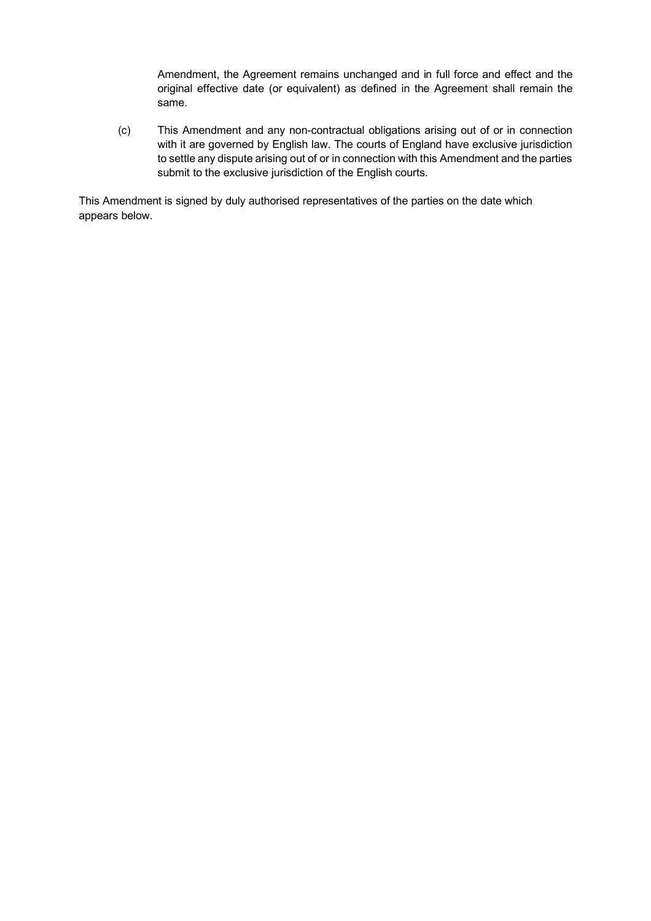Amendment, the Agreement remains unchanged and in full force and effect and the original effective date (or equivalent) as defined in the Agreement shall remain the same.

(c) This Amendment and any non-contractual obligations arising out of or in connection with it are governed by English law. The courts of England have exclusive jurisdiction to settle any dispute arising out of or in connection with this Amendment and the parties submit to the exclusive jurisdiction of the English courts.

This Amendment is signed by duly authorised representatives of the parties on the date which appears below.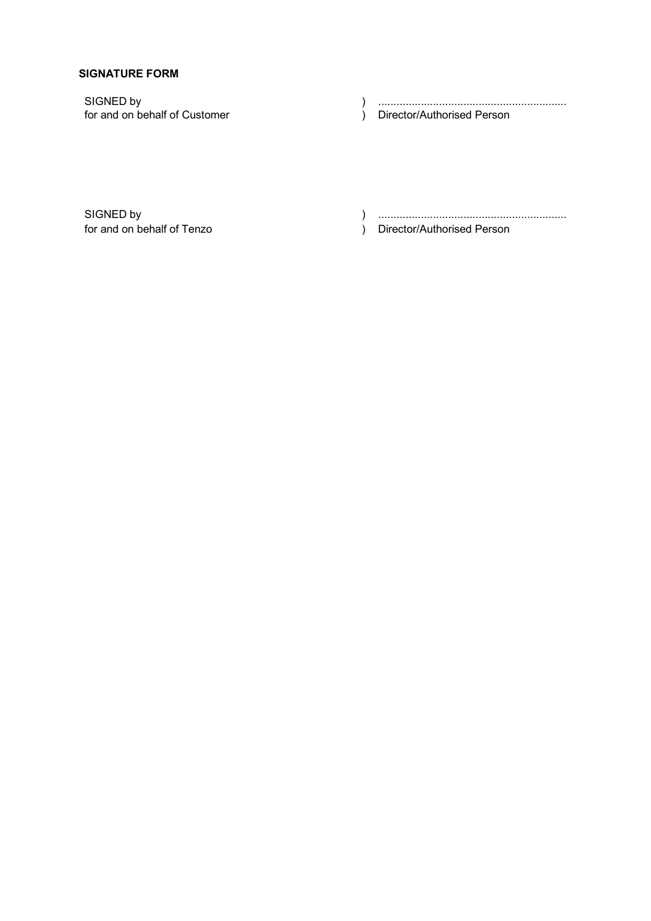## **SIGNATURE FORM**

SIGNED by <br>
for and on behalf of Customer 
(a) (b)  $\overline{D}$  (c)  $\overline{D}$  (c)  $\overline{D}$  (c)  $\overline{D}$  (c)  $\overline{D}$  (c)  $\overline{D}$  (c)  $\overline{D}$  (c)  $\overline{D}$  (c)  $\overline{D}$  (c)  $\overline{D}$  (c)  $\overline{D}$  (c)  $\overline{D}$  (c)  $\overline{D}$  (c)  $\$ ) Director/Authorised Person

SIGNED by ) .............................................................. for and on behalf of Tenzo (in the state of the state of the state of the Director/Authorised Person